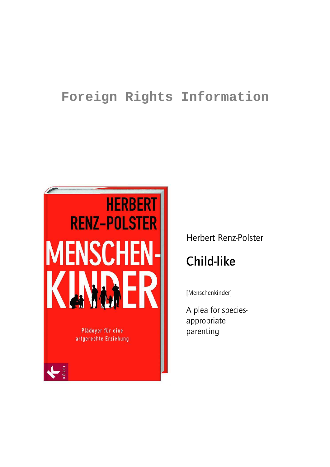# **Foreign Rights Information**



# Herbert Renz-Polster

# **Child-like**

[Menschenkinder]

A plea for speciesappropriate parenting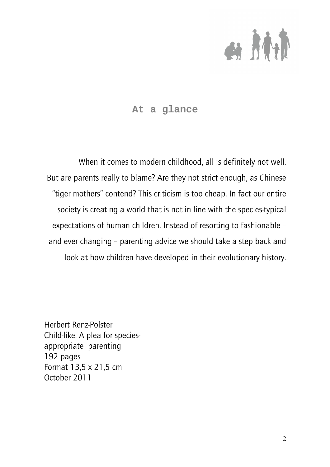

## **At a glance**

When it comes to modern childhood, all is definitely not well. But are parents really to blame? Are they not strict enough, as Chinese "tiger mothers" contend? This criticism is too cheap. In fact our entire society is creating a world that is not in line with the species-typical expectations of human children. Instead of resorting to fashionable – and ever changing – parenting advice we should take a step back and look at how children have developed in their evolutionary history.

Herbert Renz-Polster Child-like. A plea for speciesappropriate parenting 192 pages Format 13,5 x 21,5 cm October 2011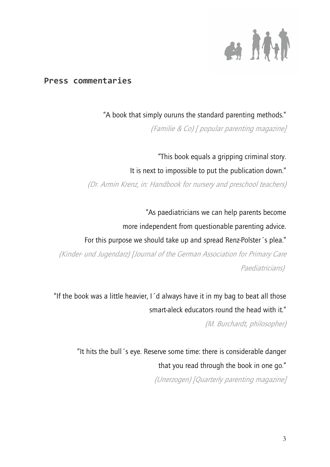

## **Press commentaries**

"A book that simply ouruns the standard parenting methods."

(Familie & Co) [ popular parenting magazine]

"This book equals a gripping criminal story. It is next to impossible to put the publication down." (Dr. Armin Krenz, in: Handbook for nursery and preschool teachers)

"As paediatricians we can help parents become more independent from questionable parenting advice. For this purpose we should take up and spread Renz-Polster´s plea." (Kinder- und Jugendarz) [Journal of the German Association for Primary Care Paediatricians)

"If the book was a little heavier, I´d always have it in my bag to beat all those smart-aleck educators round the head with it."

(M. Burchardt, philosopher)

"It hits the bull´s eye. Reserve some time: there is considerable danger that you read through the book in one go." (Unerzogen) [Quarterly parenting magazine]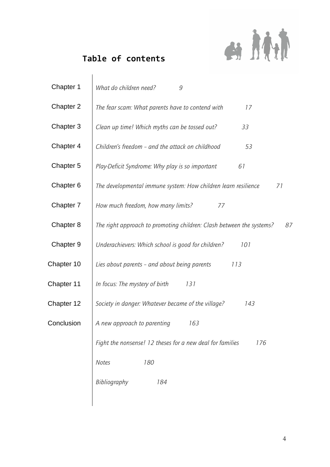

# **Table of contents**

| Chapter 1  | What do children need?<br>9                                                |
|------------|----------------------------------------------------------------------------|
| Chapter 2  | The fear scam: What parents have to contend with<br>17                     |
| Chapter 3  | Clean up time! Which myths can be tossed out?<br>33                        |
| Chapter 4  | Children's freedom – and the attack on childhood<br>53                     |
| Chapter 5  | Play-Deficit Syndrome: Why play is so important<br>61                      |
| Chapter 6  | The developmental immune system: How children learn resilience<br>71       |
| Chapter 7  | How much freedom, how many limits?<br>77                                   |
| Chapter 8  | The right approach to promoting children: Clash between the systems?<br>87 |
| Chapter 9  | Underachievers: Which school is good for children?<br>101                  |
| Chapter 10 | Lies about parents - and about being parents<br>113                        |
| Chapter 11 | In focus: The mystery of birth<br>131                                      |
| Chapter 12 | Society in danger: Whatever became of the village?<br>143                  |
| Conclusion | A new approach to parenting<br>163                                         |
|            | Fight the nonsense! 12 theses for a new deal for families<br>176           |
|            | 180<br><b>Notes</b>                                                        |
|            | Bibliography<br>184                                                        |
|            |                                                                            |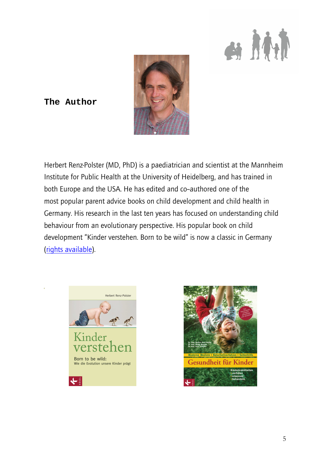



## **The Author**

Herbert Renz-Polster (MD, PhD) is a paediatrician and scientist at the Mannheim Institute for Public Health at the University of Heidelberg, and has trained in both Europe and the USA. He has edited and co-authored one of the most popular parent advice books on child development and child health in Germany. His research in the last ten years has focused on understanding child behaviour from an evolutionary perspective. His popular book on child development "Kinder verstehen. Born to be wild" is now a classic in Germany (rights available).



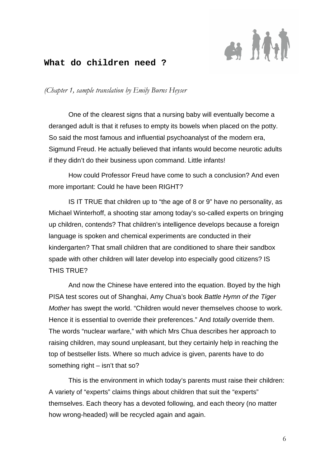

### **What do children need ?**

*(Chapter 1, sample translation by Emily Burns Heyser* 

One of the clearest signs that a nursing baby will eventually become a deranged adult is that it refuses to empty its bowels when placed on the potty. So said the most famous and influential psychoanalyst of the modern era, Sigmund Freud. He actually believed that infants would become neurotic adults if they didn't do their business upon command. Little infants!

How could Professor Freud have come to such a conclusion? And even more important: Could he have been RIGHT?

IS IT TRUE that children up to "the age of 8 or 9" have no personality, as Michael Winterhoff, a shooting star among today's so-called experts on bringing up children, contends? That children's intelligence develops because a foreign language is spoken and chemical experiments are conducted in their kindergarten? That small children that are conditioned to share their sandbox spade with other children will later develop into especially good citizens? IS THIS TRUE?

And now the Chinese have entered into the equation. Boyed by the high PISA test scores out of Shanghai, Amy Chua's book Battle Hymn of the Tiger Mother has swept the world. "Children would never themselves choose to work. Hence it is essential to override their preferences." And totally override them. The words "nuclear warfare," with which Mrs Chua describes her approach to raising children, may sound unpleasant, but they certainly help in reaching the top of bestseller lists. Where so much advice is given, parents have to do something right – isn't that so?

This is the environment in which today's parents must raise their children: A variety of "experts" claims things about children that suit the "experts" themselves. Each theory has a devoted following, and each theory (no matter how wrong-headed) will be recycled again and again.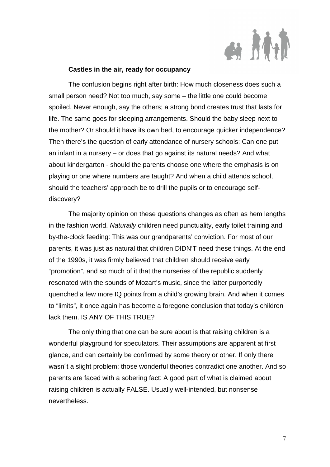

#### **Castles in the air, ready for occupancy**

The confusion begins right after birth: How much closeness does such a small person need? Not too much, say some – the little one could become spoiled. Never enough, say the others; a strong bond creates trust that lasts for life. The same goes for sleeping arrangements. Should the baby sleep next to the mother? Or should it have its own bed, to encourage quicker independence? Then there's the question of early attendance of nursery schools: Can one put an infant in a nursery – or does that go against its natural needs? And what about kindergarten - should the parents choose one where the emphasis is on playing or one where numbers are taught? And when a child attends school, should the teachers' approach be to drill the pupils or to encourage selfdiscovery?

The majority opinion on these questions changes as often as hem lengths in the fashion world. Naturally children need punctuality, early toilet training and by-the-clock feeding: This was our grandparents' conviction. For most of our parents, it was just as natural that children DIDN'T need these things. At the end of the 1990s, it was firmly believed that children should receive early "promotion", and so much of it that the nurseries of the republic suddenly resonated with the sounds of Mozart's music, since the latter purportedly quenched a few more IQ points from a child's growing brain. And when it comes to "limits", it once again has become a foregone conclusion that today's children lack them. IS ANY OF THIS TRUE?

The only thing that one can be sure about is that raising children is a wonderful playground for speculators. Their assumptions are apparent at first glance, and can certainly be confirmed by some theory or other. If only there wasn´t a slight problem: those wonderful theories contradict one another. And so parents are faced with a sobering fact: A good part of what is claimed about raising children is actually FALSE. Usually well-intended, but nonsense nevertheless.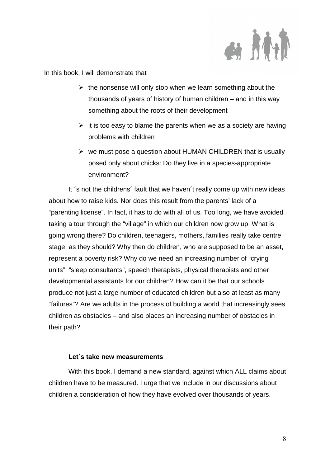

In this book, I will demonstrate that

- $\triangleright$  the nonsense will only stop when we learn something about the thousands of years of history of human children – and in this way something about the roots of their development
- $\triangleright$  it is too easy to blame the parents when we as a society are having problems with children
- $\triangleright$  we must pose a question about HUMAN CHILDREN that is usually posed only about chicks: Do they live in a species-appropriate environment?

It ´s not the childrens´ fault that we haven´t really come up with new ideas about how to raise kids. Nor does this result from the parents' lack of a "parenting license". In fact, it has to do with all of us. Too long, we have avoided taking a tour through the "village" in which our children now grow up. What is going wrong there? Do children, teenagers, mothers, families really take centre stage, as they should? Why then do children, who are supposed to be an asset, represent a poverty risk? Why do we need an increasing number of "crying units", "sleep consultants", speech therapists, physical therapists and other developmental assistants for our children? How can it be that our schools produce not just a large number of educated children but also at least as many "failures"? Are we adults in the process of building a world that increasingly sees children as obstacles – and also places an increasing number of obstacles in their path?

#### **Let´s take new measurements**

With this book, I demand a new standard, against which ALL claims about children have to be measured. I urge that we include in our discussions about children a consideration of how they have evolved over thousands of years.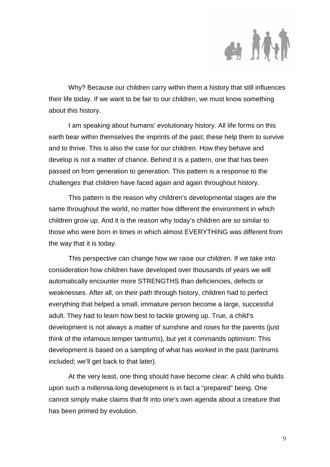

Why? Because our children carry within them a history that still influences their life today. If we want to be fair to our children, we must know something about this history.

I am speaking about humans' evolutionary history. All life forms on this earth bear within themselves the imprints of the past; these help them to survive and to thrive. This is also the case for our children. How they behave and develop is not a matter of chance. Behind it is a pattern, one that has been passed on from generation to generation. This pattern is a response to the challenges that children have faced again and again throughout history.

This pattern is the reason why children's developmental stages are the same throughout the world, no matter how different the environment in which children grow up. And it is the reason why today's children are so similar to those who were born in times in which almost EVERYTHING was different from the way that it is today.

This perspective can change how we raise our children. If we take into consideration how children have developed over thousands of years we will automatically encounter more STRENGTHS than deficiencies, defects or weaknesses. After all, on their path through history, children had to perfect everything that helped a small, immature person become a large, successful adult. They had to learn how best to tackle growing up. True, a child's development is not always a matter of sunshine and roses for the parents (just think of the infamous temper tantrums), but yet it commands optimism: This development is based on a sampling of what has worked in the past (tantrums included; we'll get back to that later).

At the very least, one thing should have become clear: A child who builds upon such a millennia-long development is in fact a "prepared" being. One cannot simply make claims that fit into one's own agenda about a creature that has been primed by evolution.